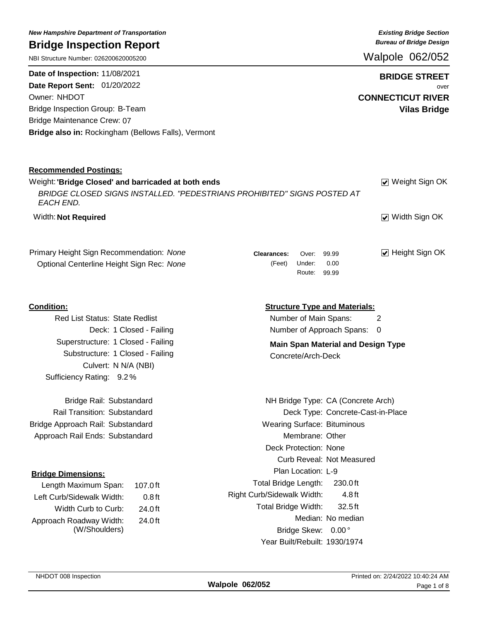| NBI Structure Number: 026200620005200                                                                                                       | Walpole 062/052                                          |
|---------------------------------------------------------------------------------------------------------------------------------------------|----------------------------------------------------------|
| Date of Inspection: 11/08/2021<br>Date Report Sent: 01/20/2022                                                                              | <b>BRIDGE STREET</b><br>over                             |
| Owner: NHDOT                                                                                                                                | <b>CONNECTICUT RIVER</b>                                 |
| <b>Bridge Inspection Group: B-Team</b>                                                                                                      | <b>Vilas Bridge</b>                                      |
| Bridge Maintenance Crew: 07                                                                                                                 |                                                          |
| Bridge also in: Rockingham (Bellows Falls), Vermont                                                                                         |                                                          |
| <b>Recommended Postings:</b>                                                                                                                |                                                          |
| Weight: 'Bridge Closed' and barricaded at both ends<br>BRIDGE CLOSED SIGNS INSTALLED. "PEDESTRIANS PROHIBITED" SIGNS POSTED AT<br>EACH END. | ☑ Weight Sign OK                                         |
| Width: Not Required                                                                                                                         | ☑ Width Sign OK                                          |
| Primary Height Sign Recommendation: None                                                                                                    | ☑ Height Sign OK<br>99.99<br><b>Clearances:</b><br>Over: |
| Optional Centerline Height Sign Rec: None                                                                                                   | 0.00<br>(Feet)<br>Under:<br>Route: 99.99                 |
| <b>Condition:</b>                                                                                                                           | <b>Structure Type and Materials:</b>                     |
| Red List Status: State Redlist                                                                                                              | Number of Main Spans:<br>2                               |
| Deck: 1 Closed - Failing                                                                                                                    | Number of Approach Spans: 0                              |
| Superstructure: 1 Closed - Failing                                                                                                          | <b>Main Span Material and Design Type</b>                |
| Substructure: 1 Closed - Failing                                                                                                            | Concrete/Arch-Deck                                       |
| Culvert: N N/A (NBI)                                                                                                                        |                                                          |
| Sufficiency Rating: 9.2%                                                                                                                    |                                                          |
| Bridge Rail: Substandard                                                                                                                    | NH Bridge Type: CA (Concrete Arch)                       |
| Rail Transition: Substandard                                                                                                                | Deck Type: Concrete-Cast-in-Place                        |
| Bridge Approach Rail: Substandard                                                                                                           | <b>Wearing Surface: Bituminous</b>                       |
| Approach Rail Ends: Substandard                                                                                                             | Membrane: Other                                          |
|                                                                                                                                             | Deck Protection: None                                    |
|                                                                                                                                             | Curb Reveal: Not Measured                                |
| <b>Bridge Dimensions:</b>                                                                                                                   | Plan Location: L-9                                       |
| Length Maximum Span:<br>$107.0$ ft                                                                                                          | Total Bridge Length:<br>230.0ft                          |
| Left Curb/Sidewalk Width:<br>0.8 <sub>ft</sub>                                                                                              | Right Curb/Sidewalk Width:<br>4.8 ft                     |
| Width Curb to Curb:<br>24.0ft                                                                                                               | Total Bridge Width:<br>32.5ft                            |
| Approach Roadway Width:<br>24.0ft                                                                                                           | Median: No median                                        |
| (W/Shoulders)                                                                                                                               | Bridge Skew: 0.00°                                       |
|                                                                                                                                             | Year Built/Rebuilt: 1930/1974                            |

*New Hampshire Department of Transportation* **Bridge Inspection Report**

*Existing Bridge Section Bureau of Bridge Design*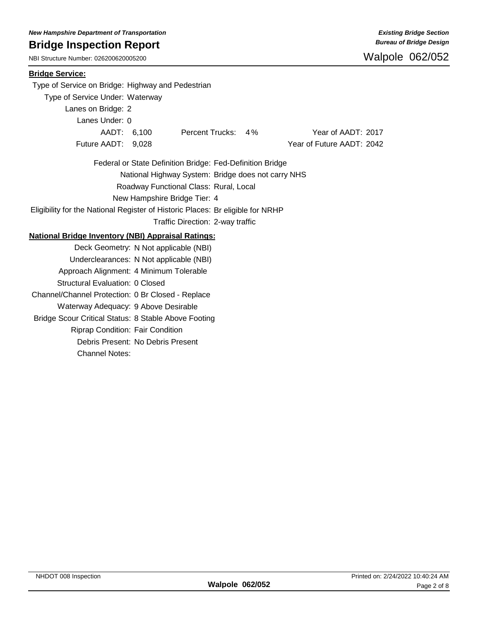NBI Structure Number: 026200620005200

### **Bridge Service:**

Type of Service on Bridge: Highway and Pedestrian

Type of Service Under: Waterway

Lanes on Bridge: 2

Lanes Under: 0

AADT: 6,100 Percent Trucks: 4% Year of AADT: 2017 Future AADT: 9,028 Year of Future AADT: 2042

Federal or State Definition Bridge: Fed-Definition Bridge Roadway Functional Class: Rural, Local New Hampshire Bridge Tier: 4 National Highway System: Bridge does not carry NHS

Eligibility for the National Register of Historic Places: Br eligible for NRHP

Traffic Direction: 2-way traffic

### **National Bridge Inventory (NBI) Appraisal Ratings:**

Deck Geometry: N Not applicable (NBI) Underclearances: N Not applicable (NBI) Approach Alignment: 4 Minimum Tolerable Structural Evaluation: 0 Closed Channel/Channel Protection: 0 Br Closed - Replace Waterway Adequacy: 9 Above Desirable Bridge Scour Critical Status: 8 Stable Above Footing Riprap Condition: Fair Condition Debris Present: No Debris Present Channel Notes: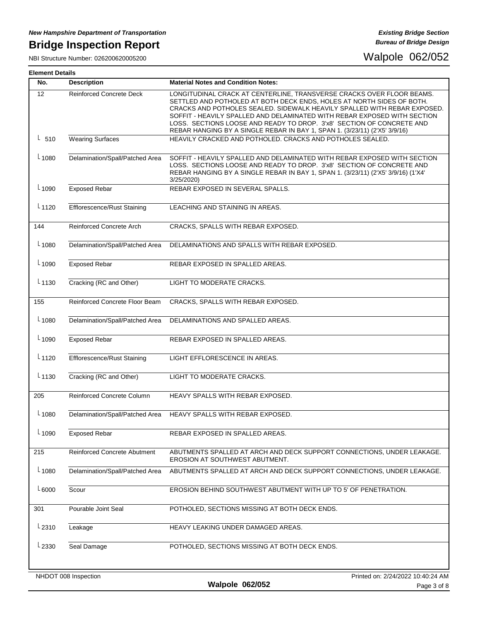NBI Structure Number: 026200620005200

#### **Element Details**

| No.        | <b>Description</b>                  | <b>Material Notes and Condition Notes:</b>                                                                                                                                                                                                                                                                                                                                                                                                                    |
|------------|-------------------------------------|---------------------------------------------------------------------------------------------------------------------------------------------------------------------------------------------------------------------------------------------------------------------------------------------------------------------------------------------------------------------------------------------------------------------------------------------------------------|
| 12         | <b>Reinforced Concrete Deck</b>     | LONGITUDINAL CRACK AT CENTERLINE, TRANSVERSE CRACKS OVER FLOOR BEAMS.<br>SETTLED AND POTHOLED AT BOTH DECK ENDS, HOLES AT NORTH SIDES OF BOTH.<br>CRACKS AND POTHOLES SEALED. SIDEWALK HEAVILY SPALLED WITH REBAR EXPOSED.<br>SOFFIT - HEAVILY SPALLED AND DELAMINATED WITH REBAR EXPOSED WITH SECTION<br>LOSS. SECTIONS LOOSE AND READY TO DROP. 3'x8' SECTION OF CONCRETE AND<br>REBAR HANGING BY A SINGLE REBAR IN BAY 1, SPAN 1. (3/23/11) (2'X5' 3/9/16) |
| $L_{510}$  | <b>Wearing Surfaces</b>             | HEAVILY CRACKED AND POTHOLED. CRACKS AND POTHOLES SEALED.                                                                                                                                                                                                                                                                                                                                                                                                     |
| $L_{1080}$ | Delamination/Spall/Patched Area     | SOFFIT - HEAVILY SPALLED AND DELAMINATED WITH REBAR EXPOSED WITH SECTION<br>LOSS. SECTIONS LOOSE AND READY TO DROP. 3'x8' SECTION OF CONCRETE AND<br>REBAR HANGING BY A SINGLE REBAR IN BAY 1, SPAN 1. (3/23/11) (2'X5' 3/9/16) (1'X4'<br>3/25/2020)                                                                                                                                                                                                          |
| $L_{1090}$ | <b>Exposed Rebar</b>                | REBAR EXPOSED IN SEVERAL SPALLS.                                                                                                                                                                                                                                                                                                                                                                                                                              |
| $L_{1120}$ | <b>Efflorescence/Rust Staining</b>  | LEACHING AND STAINING IN AREAS.                                                                                                                                                                                                                                                                                                                                                                                                                               |
| 144        | Reinforced Concrete Arch            | CRACKS, SPALLS WITH REBAR EXPOSED.                                                                                                                                                                                                                                                                                                                                                                                                                            |
| $L_{1080}$ | Delamination/Spall/Patched Area     | DELAMINATIONS AND SPALLS WITH REBAR EXPOSED.                                                                                                                                                                                                                                                                                                                                                                                                                  |
| $-1090$    | <b>Exposed Rebar</b>                | REBAR EXPOSED IN SPALLED AREAS.                                                                                                                                                                                                                                                                                                                                                                                                                               |
| $L_{1130}$ | Cracking (RC and Other)             | LIGHT TO MODERATE CRACKS.                                                                                                                                                                                                                                                                                                                                                                                                                                     |
| 155        | Reinforced Concrete Floor Beam      | CRACKS, SPALLS WITH REBAR EXPOSED.                                                                                                                                                                                                                                                                                                                                                                                                                            |
| $L_{1080}$ | Delamination/Spall/Patched Area     | DELAMINATIONS AND SPALLED AREAS.                                                                                                                                                                                                                                                                                                                                                                                                                              |
| $L_{1090}$ | <b>Exposed Rebar</b>                | REBAR EXPOSED IN SPALLED AREAS.                                                                                                                                                                                                                                                                                                                                                                                                                               |
| $L_{1120}$ | <b>Efflorescence/Rust Staining</b>  | LIGHT EFFLORESCENCE IN AREAS.                                                                                                                                                                                                                                                                                                                                                                                                                                 |
| $L_{1130}$ | Cracking (RC and Other)             | LIGHT TO MODERATE CRACKS.                                                                                                                                                                                                                                                                                                                                                                                                                                     |
| 205        | Reinforced Concrete Column          | HEAVY SPALLS WITH REBAR EXPOSED.                                                                                                                                                                                                                                                                                                                                                                                                                              |
| $L_{1080}$ | Delamination/Spall/Patched Area     | HEAVY SPALLS WITH REBAR EXPOSED.                                                                                                                                                                                                                                                                                                                                                                                                                              |
| $L_{1090}$ | <b>Exposed Rebar</b>                | REBAR EXPOSED IN SPALLED AREAS.                                                                                                                                                                                                                                                                                                                                                                                                                               |
| 215        | <b>Reinforced Concrete Abutment</b> | ABUTMENTS SPALLED AT ARCH AND DECK SUPPORT CONNECTIONS, UNDER LEAKAGE.<br>EROSION AT SOUTHWEST ABUTMENT.                                                                                                                                                                                                                                                                                                                                                      |
| $L_{1080}$ | Delamination/Spall/Patched Area     | ABUTMENTS SPALLED AT ARCH AND DECK SUPPORT CONNECTIONS, UNDER LEAKAGE.                                                                                                                                                                                                                                                                                                                                                                                        |
| $-6000$    | Scour                               | EROSION BEHIND SOUTHWEST ABUTMENT WITH UP TO 5' OF PENETRATION.                                                                                                                                                                                                                                                                                                                                                                                               |
| 301        | Pourable Joint Seal                 | POTHOLED, SECTIONS MISSING AT BOTH DECK ENDS.                                                                                                                                                                                                                                                                                                                                                                                                                 |
| $L_{2310}$ | Leakage                             | HEAVY LEAKING UNDER DAMAGED AREAS.                                                                                                                                                                                                                                                                                                                                                                                                                            |
| $L_{2330}$ | Seal Damage                         | POTHOLED, SECTIONS MISSING AT BOTH DECK ENDS.                                                                                                                                                                                                                                                                                                                                                                                                                 |
|            | NHDOT 008 Inspection                | Printed on: 2/24/2022 10:40:24 AM                                                                                                                                                                                                                                                                                                                                                                                                                             |
|            |                                     | <b>Walpole 062/052</b><br>Page 3 of 8                                                                                                                                                                                                                                                                                                                                                                                                                         |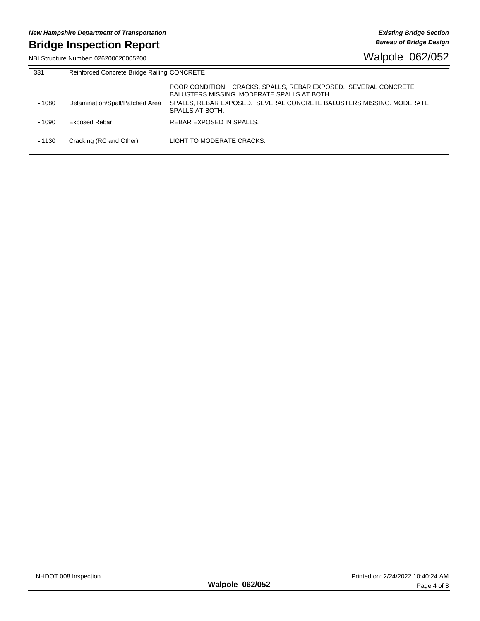NBI Structure Number: 026200620005200

| 331     | Reinforced Concrete Bridge Railing CONCRETE |                                                                                                                |  |  |  |  |  |  |
|---------|---------------------------------------------|----------------------------------------------------------------------------------------------------------------|--|--|--|--|--|--|
|         |                                             | POOR CONDITION: CRACKS, SPALLS, REBAR EXPOSED. SEVERAL CONCRETE<br>BALUSTERS MISSING, MODERATE SPALLS AT BOTH. |  |  |  |  |  |  |
| 1080    | Delamination/Spall/Patched Area             | SPALLS, REBAR EXPOSED. SEVERAL CONCRETE BALUSTERS MISSING. MODERATE<br>SPALLS AT BOTH.                         |  |  |  |  |  |  |
| - 1090  | <b>Exposed Rebar</b>                        | REBAR EXPOSED IN SPALLS.                                                                                       |  |  |  |  |  |  |
| $-1130$ | Cracking (RC and Other)                     | LIGHT TO MODERATE CRACKS.                                                                                      |  |  |  |  |  |  |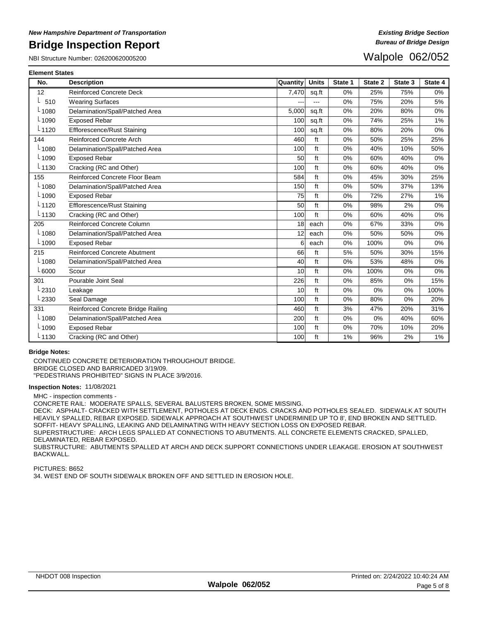NBI Structure Number: 026200620005200

## Walpole 062/052

| <b>Element States</b> |                                     |          |              |         |         |         |         |
|-----------------------|-------------------------------------|----------|--------------|---------|---------|---------|---------|
| No.                   | <b>Description</b>                  | Quantity | <b>Units</b> | State 1 | State 2 | State 3 | State 4 |
| 12                    | <b>Reinforced Concrete Deck</b>     | 7,470    | sq.ft        | 0%      | 25%     | 75%     | 0%      |
| 510                   | <b>Wearing Surfaces</b>             |          | ---          | 0%      | 75%     | 20%     | 5%      |
| $-1080$               | Delamination/Spall/Patched Area     | 5.000    | sq.ft        | 0%      | 20%     | 80%     | 0%      |
| $-1090$               | <b>Exposed Rebar</b>                | 100      | sq.ft        | 0%      | 74%     | 25%     | 1%      |
| $-1120$               | <b>Efflorescence/Rust Staining</b>  | 100      | sq.ft        | 0%      | 80%     | 20%     | 0%      |
| 144                   | <b>Reinforced Concrete Arch</b>     | 460      | ft           | 0%      | 50%     | 25%     | 25%     |
| $-1080$               | Delamination/Spall/Patched Area     | 100      | ft           | 0%      | 40%     | 10%     | 50%     |
| $L_{1090}$            | <b>Exposed Rebar</b>                | 50       | ft           | 0%      | 60%     | 40%     | 0%      |
| $-1130$               | Cracking (RC and Other)             | 100      | ft           | 0%      | 60%     | 40%     | 0%      |
| 155                   | Reinforced Concrete Floor Beam      | 584      | ft           | 0%      | 45%     | 30%     | 25%     |
| $-1080$               | Delamination/Spall/Patched Area     | 150      | ft           | 0%      | 50%     | 37%     | 13%     |
| $-1090$               | <b>Exposed Rebar</b>                | 75       | ft           | 0%      | 72%     | 27%     | 1%      |
| $-1120$               | Efflorescence/Rust Staining         | 50       | ft           | 0%      | 98%     | 2%      | 0%      |
| $L$ 1130              | Cracking (RC and Other)             | 100      | ft           | 0%      | 60%     | 40%     | 0%      |
| 205                   | Reinforced Concrete Column          | 18       | each         | 0%      | 67%     | 33%     | 0%      |
| $-1080$               | Delamination/Spall/Patched Area     | 12       | each         | 0%      | 50%     | 50%     | 0%      |
| $L_{1090}$            | <b>Exposed Rebar</b>                | 6        | each         | 0%      | 100%    | 0%      | 0%      |
| 215                   | <b>Reinforced Concrete Abutment</b> | 66       | ft           | 5%      | 50%     | 30%     | 15%     |
| $-1080$               | Delamination/Spall/Patched Area     | 40       | ft           | 0%      | 53%     | 48%     | 0%      |
| $-6000$               | Scour                               | 10       | ft           | 0%      | 100%    | 0%      | 0%      |
| 301                   | Pourable Joint Seal                 | 226      | ft           | 0%      | 85%     | 0%      | 15%     |
| $-2310$               | Leakage                             | 10       | ft           | 0%      | 0%      | 0%      | 100%    |
| $-2330$               | Seal Damage                         | 100      | ft           | 0%      | 80%     | 0%      | 20%     |
| 331                   | Reinforced Concrete Bridge Railing  | 460      | ft           | 3%      | 47%     | 20%     | 31%     |
| $L_{1080}$            | Delamination/Spall/Patched Area     | 200      | ft           | 0%      | 0%      | 40%     | 60%     |
| $-1090$               | <b>Exposed Rebar</b>                | 100      | ft           | 0%      | 70%     | 10%     | 20%     |
| $-1130$               | Cracking (RC and Other)             | 100      | ft           | 1%      | 96%     | 2%      | 1%      |

### **Bridge Notes:**

CONTINUED CONCRETE DETERIORATION THROUGHOUT BRIDGE.

BRIDGE CLOSED AND BARRICADED 3/19/09.

"PEDESTRIANS PROHIBITED" SIGNS IN PLACE 3/9/2016.

#### **Inspection Notes:** 11/08/2021

MHC - inspection comments -

CONCRETE RAIL: MODERATE SPALLS, SEVERAL BALUSTERS BROKEN, SOME MISSING.

DECK: ASPHALT- CRACKED WITH SETTLEMENT, POTHOLES AT DECK ENDS. CRACKS AND POTHOLES SEALED. SIDEWALK AT SOUTH HEAVILY SPALLED, REBAR EXPOSED. SIDEWALK APPROACH AT SOUTHWEST UNDERMINED UP TO 8', END BROKEN AND SETTLED. SOFFIT- HEAVY SPALLING, LEAKING AND DELAMINATING WITH HEAVY SECTION LOSS ON EXPOSED REBAR.

SUPERSTRUCTURE: ARCH LEGS SPALLED AT CONNECTIONS TO ABUTMENTS. ALL CONCRETE ELEMENTS CRACKED, SPALLED, DELAMINATED, REBAR EXPOSED.

SUBSTRUCTURE: ABUTMENTS SPALLED AT ARCH AND DECK SUPPORT CONNECTIONS UNDER LEAKAGE. EROSION AT SOUTHWEST BACKWALL.

PICTURES: B652 34. WEST END OF SOUTH SIDEWALK BROKEN OFF AND SETTLED IN EROSION HOLE.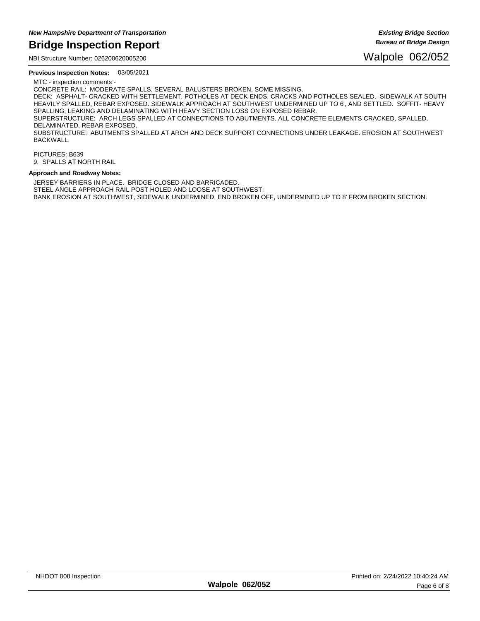NBI Structure Number: 026200620005200

**Previous Inspection Notes:** 03/05/2021

MTC - inspection comments - CONCRETE RAIL: MODERATE SPALLS, SEVERAL BALUSTERS BROKEN, SOME MISSING.

DECK: ASPHALT- CRACKED WITH SETTLEMENT, POTHOLES AT DECK ENDS. CRACKS AND POTHOLES SEALED. SIDEWALK AT SOUTH HEAVILY SPALLED, REBAR EXPOSED. SIDEWALK APPROACH AT SOUTHWEST UNDERMINED UP TO 6', AND SETTLED. SOFFIT- HEAVY SPALLING, LEAKING AND DELAMINATING WITH HEAVY SECTION LOSS ON EXPOSED REBAR. SUPERSTRUCTURE: ARCH LEGS SPALLED AT CONNECTIONS TO ABUTMENTS. ALL CONCRETE ELEMENTS CRACKED, SPALLED,

DELAMINATED, REBAR EXPOSED.

SUBSTRUCTURE: ABUTMENTS SPALLED AT ARCH AND DECK SUPPORT CONNECTIONS UNDER LEAKAGE. EROSION AT SOUTHWEST BACKWALL.

### PICTURES: B639

9. SPALLS AT NORTH RAIL

#### **Approach and Roadway Notes:**

JERSEY BARRIERS IN PLACE. BRIDGE CLOSED AND BARRICADED. STEEL ANGLE APPROACH RAIL POST HOLED AND LOOSE AT SOUTHWEST. BANK EROSION AT SOUTHWEST, SIDEWALK UNDERMINED, END BROKEN OFF, UNDERMINED UP TO 8' FROM BROKEN SECTION.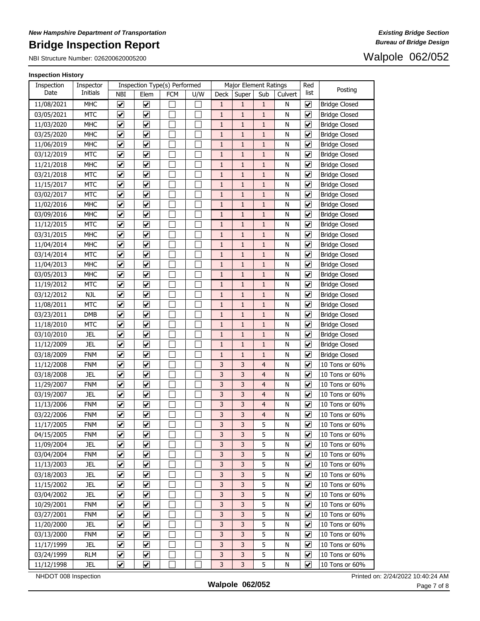NBI Structure Number: 026200620005200

### Walpole 062/052

### **Inspection History**

| Inspection | Inspector  |                                 |                                 | Inspection Type(s) Performed |     | Major Element Ratings |              |                         |         | Red                          |                      |
|------------|------------|---------------------------------|---------------------------------|------------------------------|-----|-----------------------|--------------|-------------------------|---------|------------------------------|----------------------|
| Date       | Initials   | NBI                             | Elem                            | FCM                          | U/W | Deck                  | Super        | Sub                     | Culvert | list                         | Posting              |
| 11/08/2021 | <b>MHC</b> | $\blacktriangledown$            | ☑                               |                              |     | $\mathbf{1}$          | 1            | 1                       | N       | ⊻                            | <b>Bridge Closed</b> |
| 03/05/2021 | <b>MTC</b> | $\blacktriangledown$            | $\blacktriangledown$            |                              |     | $\mathbf{1}$          | $\mathbf{1}$ | $\mathbf{1}$            | N       | $\blacktriangledown$         | <b>Bridge Closed</b> |
| 11/03/2020 | <b>MHC</b> | $\blacktriangledown$            | $\overline{\mathbf{v}}$         |                              |     | $\mathbf{1}$          | $\mathbf{1}$ | $\mathbf{1}$            | N       | $\blacktriangledown$         | <b>Bridge Closed</b> |
| 03/25/2020 | <b>MHC</b> | $\blacktriangledown$            | $\overline{\mathbf{v}}$         |                              |     | $\mathbf{1}$          | $\mathbf{1}$ | $\mathbf{1}$            | N       | $\blacktriangledown$         | <b>Bridge Closed</b> |
| 11/06/2019 | <b>MHC</b> | ⊻                               | ⊻                               |                              |     | $\mathbf{1}$          | $\mathbf{1}$ | $\mathbf{1}$            | N       | $\blacktriangledown$         | <b>Bridge Closed</b> |
| 03/12/2019 | <b>MTC</b> | $\blacktriangledown$            | $\overline{\mathbf{v}}$         |                              |     | $\mathbf 1$           | $\mathbf{1}$ | $\mathbf{1}$            | N       | $\blacktriangledown$         | <b>Bridge Closed</b> |
| 11/21/2018 | <b>MHC</b> | ☑                               | $\blacktriangledown$            |                              |     | $\mathbf{1}$          | $\mathbf{1}$ | 1                       | N       | $\blacktriangledown$         | <b>Bridge Closed</b> |
| 03/21/2018 | <b>MTC</b> | $\blacktriangledown$            | $\overline{\mathbf{v}}$         |                              |     | $\mathbf{1}$          | $\mathbf{1}$ | 1                       | N       | $\blacktriangledown$         | <b>Bridge Closed</b> |
| 11/15/2017 | <b>MTC</b> | $\blacktriangledown$            | $\overline{\mathbf{v}}$         |                              |     | 1                     | $\mathbf{1}$ | 1                       | N       | $\blacktriangledown$         | <b>Bridge Closed</b> |
| 03/02/2017 | <b>MTC</b> | $\blacktriangledown$            | $\overline{\mathbf{v}}$         |                              |     | $\mathbf{1}$          | $1\,$        | $\mathbf{1}$            | N       | $\blacktriangledown$         | <b>Bridge Closed</b> |
| 11/02/2016 | <b>MHC</b> | $\overline{\mathbf{v}}$         | $\overline{\mathbf{v}}$         |                              |     | $\mathbf{1}$          | $\mathbf{1}$ | 1                       | N       | $\blacktriangledown$         | <b>Bridge Closed</b> |
| 03/09/2016 | <b>MHC</b> | $\overline{\mathbf{v}}$         | $\overline{\mathbf{v}}$         |                              |     | $\mathbf 1$           | $\mathbf{1}$ | $\mathbf{1}$            | N       | $\blacktriangledown$         | <b>Bridge Closed</b> |
| 11/12/2015 | <b>MTC</b> | $\overline{\mathbf{v}}$         | $\blacktriangledown$            |                              |     | $\mathbf{1}$          | $\mathbf{1}$ | $\mathbf{1}$            | N       | $\blacktriangledown$         | <b>Bridge Closed</b> |
| 03/31/2015 | <b>MHC</b> | $\overline{\mathbf{v}}$         | $\overline{\mathbf{v}}$         |                              |     | $\mathbf{1}$          | $\mathbf{1}$ | $\mathbf{1}$            | N       | $\overline{\mathbf{v}}$      | <b>Bridge Closed</b> |
| 11/04/2014 | <b>MHC</b> | $\overline{\mathbf{v}}$         | $\overline{\mathbf{v}}$         |                              |     | $\mathbf{1}$          | $\mathbf{1}$ | 1                       | N       | $\overline{\mathbf{v}}$      | <b>Bridge Closed</b> |
| 03/14/2014 | <b>MTC</b> | $\overline{\mathbf{v}}$         | $\overline{\blacktriangledown}$ |                              |     | $\mathbf{1}$          | $\mathbf{1}$ | 1                       | N       | ⊻                            | <b>Bridge Closed</b> |
| 11/04/2013 | <b>MHC</b> | $\overline{\mathbf{v}}$         | ☑                               |                              |     | 1                     | 1            | 1                       | N       | $\blacktriangledown$         | <b>Bridge Closed</b> |
| 03/05/2013 | <b>MHC</b> | $\blacktriangledown$            | $\overline{\mathbf{v}}$         |                              |     | $\mathbf{1}$          | $\mathbf{1}$ | 1                       | N       | $\overline{\mathbf{v}}$      | <b>Bridge Closed</b> |
| 11/19/2012 | <b>MTC</b> | $\overline{\mathbf{v}}$         | $\overline{\mathbf{v}}$         |                              |     | $\mathbf{1}$          | $\mathbf{1}$ | $\mathbf{1}$            | N       | $\overline{\mathbf{v}}$      | <b>Bridge Closed</b> |
| 03/12/2012 | <b>NJL</b> | $\overline{\mathbf{v}}$         | $\overline{\mathbf{v}}$         |                              |     | $\mathbf{1}$          | $\mathbf{1}$ | 1                       | N       | $\blacktriangledown$         | <b>Bridge Closed</b> |
| 11/08/2011 | <b>MTC</b> | $\overline{\mathbf{v}}$         | $\overline{\mathbf{v}}$         |                              |     | $\mathbf{1}$          | $\mathbf{1}$ | 1                       | N       | $\overline{\mathbf{v}}$      | <b>Bridge Closed</b> |
| 03/23/2011 | <b>DMB</b> | $\blacktriangledown$            | $\overline{\mathbf{v}}$         |                              |     | $\mathbf{1}$          | $\mathbf{1}$ | 1                       | N       | $\blacktriangledown$         | <b>Bridge Closed</b> |
| 11/18/2010 | <b>MTC</b> | $\blacktriangledown$            | $\overline{\mathbf{v}}$         |                              |     | $\mathbf{1}$          | $\mathbf{1}$ | 1                       | N       | $\blacktriangledown$         | <b>Bridge Closed</b> |
| 03/10/2010 | <b>JEL</b> | $\overline{\mathbf{v}}$         | $\overline{\mathbf{v}}$         |                              |     | $\mathbf{1}$          | $\mathbf{1}$ | 1                       | N       | ⊻                            | <b>Bridge Closed</b> |
| 11/12/2009 | <b>JEL</b> | $\blacktriangledown$            | $\overline{\mathbf{v}}$         |                              |     | $\mathbf{1}$          | $\mathbf{1}$ | 1                       | N       | $\overline{\mathbf{v}}$      | <b>Bridge Closed</b> |
| 03/18/2009 | <b>FNM</b> | $\blacktriangledown$            | $\overline{\mathbf{v}}$         |                              |     | $\mathbf{1}$          | $\mathbf{1}$ | $\mathbf{1}$            | N       | $\blacktriangledown$         | <b>Bridge Closed</b> |
| 11/12/2008 | <b>FNM</b> | $\blacktriangledown$            | $\overline{\mathbf{v}}$         |                              |     | $\mathsf 3$           | 3            | $\overline{\mathbf{r}}$ | N       | $\blacktriangledown$         | 10 Tons or 60%       |
| 03/18/2008 | <b>JEL</b> | $\blacktriangledown$            | $\overline{\mathbf{v}}$         |                              |     | 3                     | 3            | $\overline{4}$          | N       | $\blacktriangledown$         | 10 Tons or 60%       |
| 11/29/2007 | <b>FNM</b> | $\blacktriangledown$            | $\overline{\mathbf{v}}$         |                              |     | 3                     | 3            | $\overline{4}$          | N       | $\blacktriangledown$         | 10 Tons or 60%       |
| 03/19/2007 | <b>JEL</b> | $\overline{\mathbf{v}}$         | $\overline{\mathbf{v}}$         |                              |     | 3                     | 3            | $\overline{4}$          | N       | $\blacktriangledown$         | 10 Tons or 60%       |
| 11/13/2006 | <b>FNM</b> | $\blacktriangledown$            | $\blacktriangledown$            |                              |     | $\mathsf 3$           | 3            | $\overline{4}$          | N       | $\blacktriangledown$         | 10 Tons or 60%       |
| 03/22/2006 | <b>FNM</b> | $\blacktriangledown$            | ☑                               |                              |     | 3                     | 3            | 4                       | N       | $\blacktriangleright$        | 10 Tons or 60%       |
| 11/17/2005 | <b>FNM</b> | $\blacktriangledown$            | $\overline{\mathbf{v}}$         |                              |     | 3                     | 3            | 5                       | N       | $\blacktriangledown$         | 10 Tons or 60%       |
| 04/15/2005 | <b>FNM</b> | $\blacktriangledown$            | $\blacktriangledown$            |                              |     | 3                     | 3            | 5                       | N       | ⊻                            | 10 Tons or 60%       |
| 11/09/2004 | JEL        | $\blacktriangledown$            | $\blacktriangledown$            |                              |     | 3                     | 3            | 5                       | N       | $\blacktriangledown$         | 10 Tons or 60%       |
| 03/04/2004 | <b>FNM</b> | $\blacktriangledown$            | ⊻                               |                              |     | 3                     | 3            | 5                       | N       | $\blacktriangledown$         | 10 Tons or 60%       |
| 11/13/2003 | <b>JEL</b> | $\blacktriangledown$            | $\blacktriangledown$            |                              |     | 3                     | 3            | 5                       | N       | $\blacktriangledown$         | 10 Tons or 60%       |
| 03/18/2003 | JEL        | $\blacktriangledown$            | $\overline{\mathbf{v}}$         |                              |     | 3                     | 3            | 5                       | N       | ☑                            | 10 Tons or 60%       |
| 11/15/2002 | <b>JEL</b> | ✔                               | ⊻                               |                              |     | 3                     | 3            | 5                       | N       | ⊻                            | 10 Tons or 60%       |
| 03/04/2002 | <b>JEL</b> | ⊻                               | ⊻                               |                              |     | 3                     | 3            | 5                       | N       | $\blacktriangledown$         | 10 Tons or 60%       |
| 10/29/2001 | <b>FNM</b> | $\blacktriangledown$            | ☑                               |                              |     | 3                     | 3            | 5                       | N       | $\blacktriangledown$         | 10 Tons or 60%       |
| 03/27/2001 | <b>FNM</b> | $\overline{\blacktriangledown}$ | ☑                               |                              |     | 3                     | 3            | 5                       | N       | $\boxed{\blacktriangledown}$ | 10 Tons or 60%       |
| 11/20/2000 | <b>JEL</b> | ☑                               | ☑                               |                              |     | 3                     | 3            | 5                       | N       | $\overline{\mathbf{v}}$      | 10 Tons or 60%       |
| 03/13/2000 | <b>FNM</b> | $\blacktriangledown$            | ☑                               |                              |     | 3                     | 3            | 5                       | N       | $\blacktriangledown$         | 10 Tons or 60%       |
| 11/17/1999 | <b>JEL</b> | $\overline{\mathbf{v}}$         | ☑                               |                              |     | 3                     | 3            | 5                       | N       | $\blacktriangledown$         | 10 Tons or 60%       |
| 03/24/1999 | <b>RLM</b> | $\blacktriangledown$            | ☑                               |                              |     | 3                     | 3            | 5                       | N       | $\overline{\mathbf{v}}$      | 10 Tons or 60%       |
| 11/12/1998 | <b>JEL</b> | ⊻                               | ⊻                               |                              |     | 3                     | 3            | 5                       | N       | ⊻                            | 10 Tons or 60%       |

NHDOT 008 Inspection